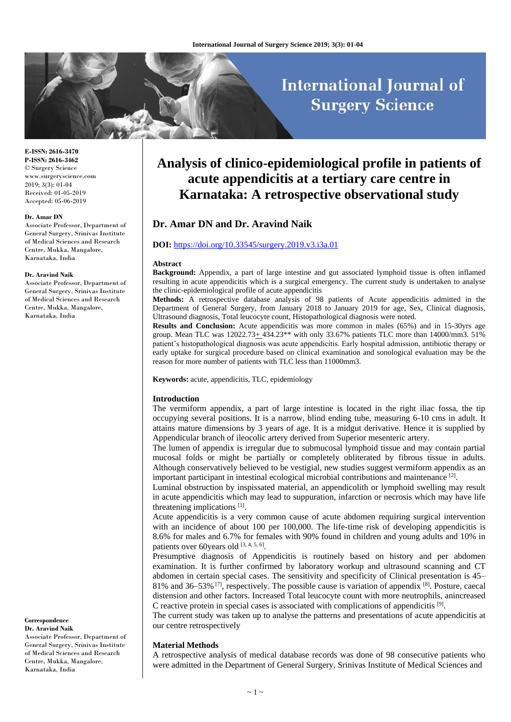# **International Journal of Surgery Science**

**E-ISSN: 2616-3470 P-ISSN: 2616-3462** © Surgery Science www.surgeryscience.com 2019; 3(3): 01-04 Received: 01-05-2019 Accepted: 05-06-2019

#### **Dr. Amar DN**

Associate Professor, Department of General Surgery, Srinivas Institute of Medical Sciences and Research Centre, Mukka, Mangalore, Karnataka, India

#### **Dr. Aravind Naik**

Associate Professor, Department of General Surgery, Srinivas Institute of Medical Sciences and Research Centre, Mukka, Mangalore, Karnataka, India

**Correspondence Dr. Aravind Naik** Associate Professor, Department of

General Surgery, Srinivas Institute of Medical Sciences and Research Centre, Mukka, Mangalore, Karnataka, India

# **Analysis of clinico-epidemiological profile in patients of acute appendicitis at a tertiary care centre in Karnataka: A retrospective observational study**

## **Dr. Amar DN and Dr. Aravind Naik**

#### **DOI:** <https://doi.org/10.33545/surgery.2019.v3.i3a.01>

#### **Abstract**

**Background:** Appendix, a part of large intestine and gut associated lymphoid tissue is often inflamed resulting in acute appendicitis which is a surgical emergency. The current study is undertaken to analyse the clinic-epidemiological profile of acute appendicitis

**Methods:** A retrospective database analysis of 98 patients of Acute appendicitis admitted in the Department of General Surgery, from January 2018 to January 2019 for age, Sex, Clinical diagnosis, Ultrasound diagnosis, Total leucocyte count, Histopathological diagnosis were noted.

**Results and Conclusion:** Acute appendicitis was more common in males (65%) and in 15-30yrs age group. Mean TLC was  $12022.73+434.23**$  with only 33.67% patients TLC more than  $14000/\text{mm}$ 3.51% patient's histopathological diagnosis was acute appendicitis. Early hospital admission, antibiotic therapy or early uptake for surgical procedure based on clinical examination and sonological evaluation may be the reason for more number of patients with TLC less than 11000mm3.

**Keywords:** acute, appendicitis, TLC, epidemiology

#### **Introduction**

The vermiform appendix, a part of large intestine is located in the right iliac fossa, the tip occupying several positions. It is a narrow, blind ending tube, measuring 6-10 cms in adult. It attains mature dimensions by 3 years of age. It is a midgut derivative. Hence it is supplied by Appendicular branch of ileocolic artery derived from Superior mesenteric artery.

The lumen of appendix is irregular due to submucosal lymphoid tissue and may contain partial mucosal folds or might be partially or completely obliterated by fibrous tissue in adults. Although conservatively believed to be vestigial, new studies suggest vermiform appendix as an important participant in intestinal ecological microbial contributions and maintenance<sup>[2]</sup>.

Luminal obstruction by inspissated material, an appendicolith or lymphoid swelling may result in acute appendicitis which may lead to suppuration, infarction or necrosis which may have life threatening implications [1].

Acute appendicitis is a very common cause of acute abdomen requiring surgical intervention with an incidence of about 100 per 100,000. The life-time risk of developing appendicitis is 8.6% for males and 6.7% for females with 90% found in children and young adults and 10% in patients over 60 years old [3, 4, 5, 6].

Presumptive diagnosis of Appendicitis is routinely based on history and per abdomen examination. It is further confirmed by laboratory workup and ultrasound scanning and CT abdomen in certain special cases. The sensitivity and specificity of Clinical presentation is 45– 81% and 36–53%  $[7]$ , respectively. The possible cause is variation of appendix  $[8]$ . Posture, caecal distension and other factors. Increased Total leucocyte count with more neutrophils, anincreased C reactive protein in special cases is associated with complications of appendicitis [9] .

The current study was taken up to analyse the patterns and presentations of acute appendicitis at our centre retrospectively

#### **Material Methods**

A retrospective analysis of medical database records was done of 98 consecutive patients who were admitted in the Department of General Surgery, Srinivas Institute of Medical Sciences and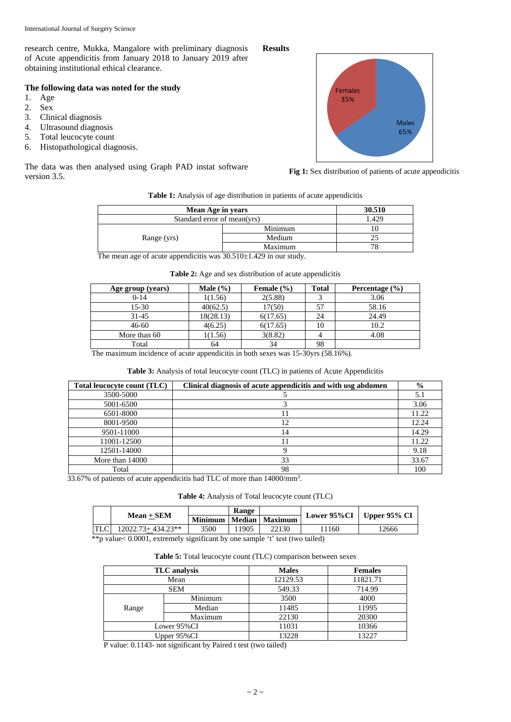research centre, Mukka, Mangalore with preliminary diagnosis of Acute appendicitis from January 2018 to January 2019 after obtaining institutional ethical clearance.

# **The following data was noted for the study**

- 1. Age
- 2. Sex
- 3. Clinical diagnosis
- 4. Ultrasound diagnosis
- 5. Total leucocyte count
- 6. Histopathological diagnosis.

The data was then analysed using Graph PAD instat software version 3.5.

# **Results**



**Fig 1:** Sex distribution of patients of acute appendicitis

**Table 1:** Analysis of age distribution in patients of acute appendicitis

| Mean Age in years           | 30.510  |  |  |
|-----------------------------|---------|--|--|
| Standard error of mean(yrs) | 1.429   |  |  |
|                             | Minimum |  |  |
| Range (yrs)                 | Medium  |  |  |
|                             | Maximum |  |  |
| .<br>-----------            |         |  |  |

The mean age of acute appendicitis was  $30.510 \pm 1.429$  in our study.

|  |  | <b>Table 2:</b> Age and sex distribution of acute appendicitis |
|--|--|----------------------------------------------------------------|
|  |  |                                                                |

| Age group (years) | Male $(\% )$ | Female $(\% )$ | <b>Total</b> | Percentage $(\% )$ |
|-------------------|--------------|----------------|--------------|--------------------|
| $0-14$            | 1(1.56)      | 2(5.88)        |              | 3.06               |
| $15 - 30$         | 40(62.5)     | 17(50)         | 57           | 58.16              |
| $31 - 45$         | 18(28.13)    | 6(17.65)       | 24           | 24.49              |
| $46 - 60$         | 4(6.25)      | 6(17.65)       | 10           | 10.2               |
| More than 60      | 1(1.56)      | 3(8.82)        |              | 4.08               |
| Total             | 64           | 34             | 98           |                    |

The maximum incidence of acute appendicitis in both sexes was 15-30yrs (58.16%).

### **Table 3:** Analysis of total leucocyte count (TLC) in patients of Acute Appendicitis

| Total leucocyte count (TLC) | Clinical diagnosis of acute appendicitis and with usg abdomen | $\frac{0}{0}$ |
|-----------------------------|---------------------------------------------------------------|---------------|
| 3500-5000                   |                                                               | 5.1           |
| 5001-6500                   |                                                               | 3.06          |
| 6501-8000                   |                                                               | 11.22         |
| 8001-9500                   | 12                                                            | 12.24         |
| 9501-11000                  | 14                                                            | 14.29         |
| 11001-12500                 |                                                               | 11.22         |
| 12501-14000                 |                                                               | 9.18          |
| More than 14000             | 33                                                            | 33.67         |
| Total                       | 98                                                            | 100           |

33.67% of patients of acute appendicitis had TLC of more than 14000/mm<sup>3</sup>.

**Table 4:** Analysis of Total leucocyte count (TLC)

| $Mean + SEM$          |      | <b>Range</b> |                            |      | Lower $95\%$ CI   Upper $95\%$ CI |  |
|-----------------------|------|--------------|----------------------------|------|-----------------------------------|--|
|                       |      |              | Minimum   Median   Maximum |      |                                   |  |
| $12022.73 + 434.23**$ | 3500 | 1905         | 22130                      | 1160 | !2666                             |  |

\*\*p value< 0.0001, extremely significant by one sample 't' test (two tailed)

**Table 5:** Total leucocyte count (TLC) comparison between sexes

|             | <b>TLC</b> analysis | <b>Males</b> | <b>Females</b> |
|-------------|---------------------|--------------|----------------|
|             | Mean                | 12129.53     | 11821.71       |
|             | <b>SEM</b>          | 549.33       | 714.99         |
|             | Minimum             | 3500         | 4000           |
| Range       | Median              | 11485        | 11995          |
|             | Maximum             | 22130        | 20300          |
| Lower 95%CI |                     | 11031        | 10366          |
| Upper 95%CI |                     | 13228        | 13227          |

P value: 0.1143- not significant by Paired t test (two tailed)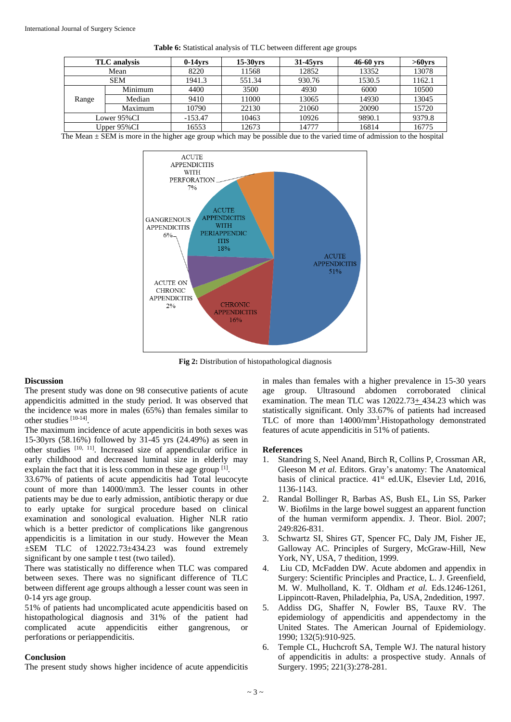|       | TLC analysis | $0-14$ vrs | $15-30$ vrs | $31-45$ vrs | $46-60$ yrs | $>60$ vrs |
|-------|--------------|------------|-------------|-------------|-------------|-----------|
|       | Mean         | 8220       | 11568       | 12852       | 13352       | 13078     |
|       | <b>SEM</b>   | 1941.3     | 551.34      | 930.76      | 1530.5      | 1162.1    |
|       | Minimum      | 4400       | 3500        | 4930        | 6000        | 10500     |
| Range | Median       | 9410       | 11000       | 13065       | 14930       | 13045     |
|       | Maximum      | 10790      | 22130       | 21060       | 20090       | 15720     |
|       | Lower 95%CI  | $-153.47$  | 10463       | 10926       | 9890.1      | 9379.8    |
|       | Upper 95%CI  | 16553      | 12673       | 14777       | 16814       | 16775     |

|  |  |  | Table 6: Statistical analysis of TLC between different age groups |
|--|--|--|-------------------------------------------------------------------|
|--|--|--|-------------------------------------------------------------------|

The Mean  $\pm$  SEM is more in the higher age group which may be possible due to the varied time of admission to the hospital



**Fig 2:** Distribution of histopathological diagnosis

#### **Discussion**

The present study was done on 98 consecutive patients of acute appendicitis admitted in the study period. It was observed that the incidence was more in males (65%) than females similar to other studies [10-14].

The maximum incidence of acute appendicitis in both sexes was 15-30yrs (58.16%) followed by 31-45 yrs (24.49%) as seen in other studies  $[10, 11]$ . Increased size of appendicular orifice in early childhood and decreased luminal size in elderly may explain the fact that it is less common in these age group<sup>[1]</sup>.

33.67% of patients of acute appendicitis had Total leucocyte count of more than 14000/mm3. The lesser counts in other patients may be due to early admission, antibiotic therapy or due to early uptake for surgical procedure based on clinical examination and sonological evaluation. Higher NLR ratio which is a better predictor of complications like gangrenous appendicitis is a limitation in our study. However the Mean ±SEM TLC of 12022.73±434.23 was found extremely significant by one sample t test (two tailed).

There was statistically no difference when TLC was compared between sexes. There was no significant difference of TLC between different age groups although a lesser count was seen in 0-14 yrs age group.

51% of patients had uncomplicated acute appendicitis based on histopathological diagnosis and 31% of the patient had complicated acute appendicitis either gangrenous, or perforations or periappendicitis.

#### **Conclusion**

The present study shows higher incidence of acute appendicitis

in males than females with a higher prevalence in 15-30 years age group. Ultrasound abdomen corroborated clinical examination. The mean TLC was 12022.73+ 434.23 which was statistically significant. Only 33.67% of patients had increased TLC of more than 14000/mm<sup>3</sup>. Histopathology demonstrated features of acute appendicitis in 51% of patients.

#### **References**

- 1. Standring S, Neel Anand, Birch R, Collins P, Crossman AR, Gleeson M *et al.* Editors. Gray's anatomy: The Anatomical basis of clinical practice.  $41<sup>st</sup>$  ed.UK, Elsevier Ltd, 2016, 1136-1143.
- 2. Randal Bollinger R, Barbas AS, Bush EL, Lin SS, Parker W. Biofilms in the large bowel suggest an apparent function of the human vermiform appendix. J. Theor. Biol. 2007; 249:826-831.
- 3. Schwartz SI, Shires GT, Spencer FC, Daly JM, Fisher JE, Galloway AC. Principles of Surgery, McGraw-Hill, New York, NY, USA, 7 thedition, 1999.
- 4. Liu CD, McFadden DW. Acute abdomen and appendix in Surgery: Scientific Principles and Practice, L. J. Greenfield, M. W. Mulholland, K. T. Oldham *et al.* Eds.1246-1261, Lippincott-Raven, Philadelphia, Pa, USA, 2ndedition, 1997.
- 5. Addiss DG, Shaffer N, Fowler BS, Tauxe RV. The epidemiology of appendicitis and appendectomy in the United States. The American Journal of Epidemiology. 1990; 132(5):910-925.
- 6. Temple CL, Huchcroft SA, Temple WJ. The natural history of appendicitis in adults: a prospective study. Annals of Surgery. 1995; 221(3):278-281.